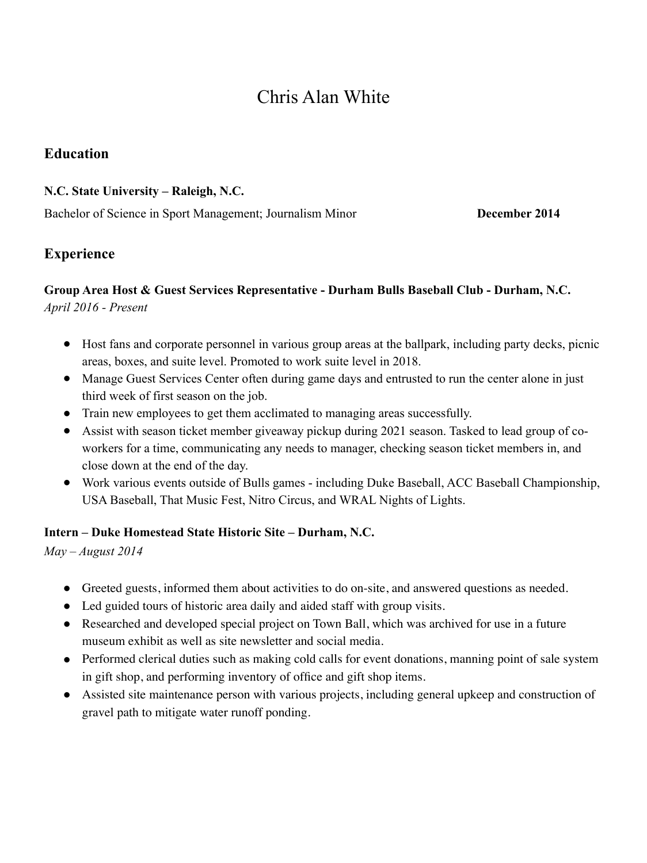# Chris Alan White

#### **Education**

#### **N.C. State University – Raleigh, N.C.**

Bachelor of Science in Sport Management; Journalism Minor **December 2014**

# **Experience**

#### **Group Area Host & Guest Services Representative - Durham Bulls Baseball Club - Durham, N.C.** *April 2016 - Present*

- Host fans and corporate personnel in various group areas at the ballpark, including party decks, picnic areas, boxes, and suite level. Promoted to work suite level in 2018.
- Manage Guest Services Center often during game days and entrusted to run the center alone in just third week of first season on the job.
- Train new employees to get them acclimated to managing areas successfully.
- Assist with season ticket member giveaway pickup during 2021 season. Tasked to lead group of coworkers for a time, communicating any needs to manager, checking season ticket members in, and close down at the end of the day.
- Work various events outside of Bulls games including Duke Baseball, ACC Baseball Championship, USA Baseball, That Music Fest, Nitro Circus, and WRAL Nights of Lights.

#### **Intern – Duke Homestead State Historic Site – Durham, N.C.**

*May – August 2014*

- Greeted guests, informed them about activities to do on-site, and answered questions as needed.
- Led guided tours of historic area daily and aided staff with group visits.
- Researched and developed special project on Town Ball, which was archived for use in a future museum exhibit as well as site newsletter and social media.
- Performed clerical duties such as making cold calls for event donations, manning point of sale system in gift shop, and performing inventory of office and gift shop items.
- Assisted site maintenance person with various projects, including general upkeep and construction of gravel path to mitigate water runoff ponding.